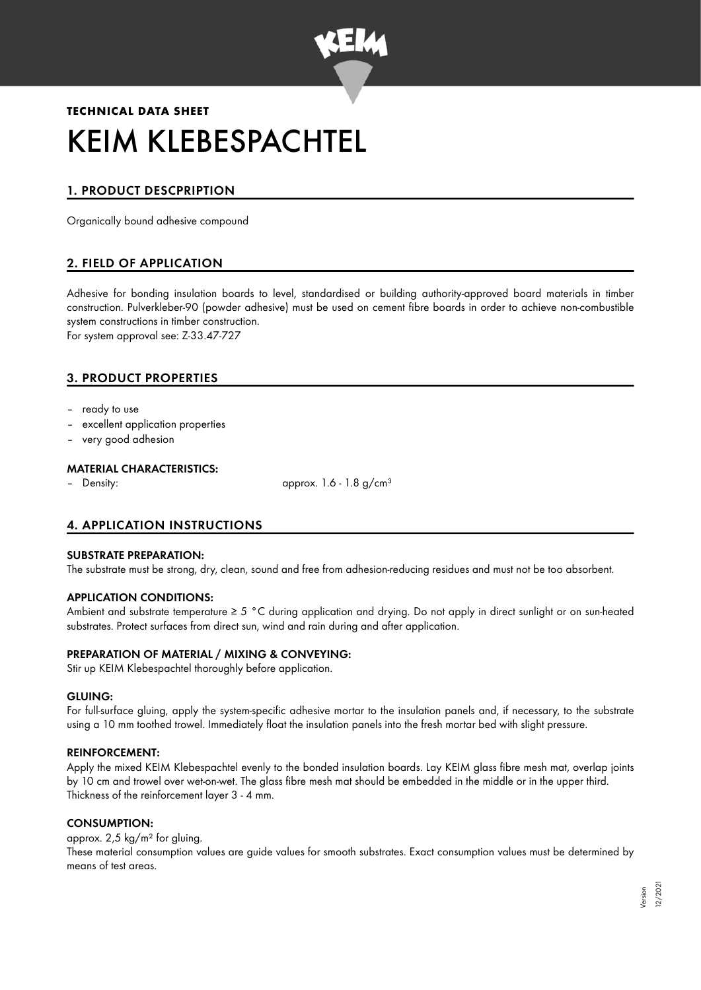

# **TECHNICAL DATA SHEET** KEIM KLEBESPACHTEL

## 1. PRODUCT DESCPRIPTION

Organically bound adhesive compound

## 2. FIELD OF APPLICATION

Adhesive for bonding insulation boards to level, standardised or building authority-approved board materials in timber construction. Pulverkleber-90 (powder adhesive) must be used on cement fibre boards in order to achieve non-combustible system constructions in timber construction.

For system approval see: Z-33.47-727

## 3. PRODUCT PROPERTIES

- ready to use
- excellent application properties
- very good adhesion

#### MATERIAL CHARACTERISTICS:

– Density: approx. 1.6 - 1.8 g/cm<sup>3</sup>

## 4. APPLICATION INSTRUCTIONS

#### SUBSTRATE PREPARATION:

The substrate must be strong, dry, clean, sound and free from adhesion-reducing residues and must not be too absorbent.

#### APPLICATION CONDITIONS:

Ambient and substrate temperature ≥ 5 °C during application and drying. Do not apply in direct sunlight or on sun-heated substrates. Protect surfaces from direct sun, wind and rain during and after application.

#### PREPARATION OF MATERIAL / MIXING & CONVEYING:

Stir up KEIM Klebespachtel thoroughly before application.

#### GLUING:

For full-surface gluing, apply the system-specific adhesive mortar to the insulation panels and, if necessary, to the substrate using a 10 mm toothed trowel. Immediately float the insulation panels into the fresh mortar bed with slight pressure.

#### REINFORCEMENT:

Apply the mixed KEIM Klebespachtel evenly to the bonded insulation boards. Lay KEIM glass fibre mesh mat, overlap joints by 10 cm and trowel over wet-on-wet. The glass fibre mesh mat should be embedded in the middle or in the upper third. Thickness of the reinforcement layer 3 - 4 mm.

#### CONSUMPTION:

approx. 2,5 kg/m² for gluing.

These material consumption values are guide values for smooth substrates. Exact consumption values must be determined by means of test areas.